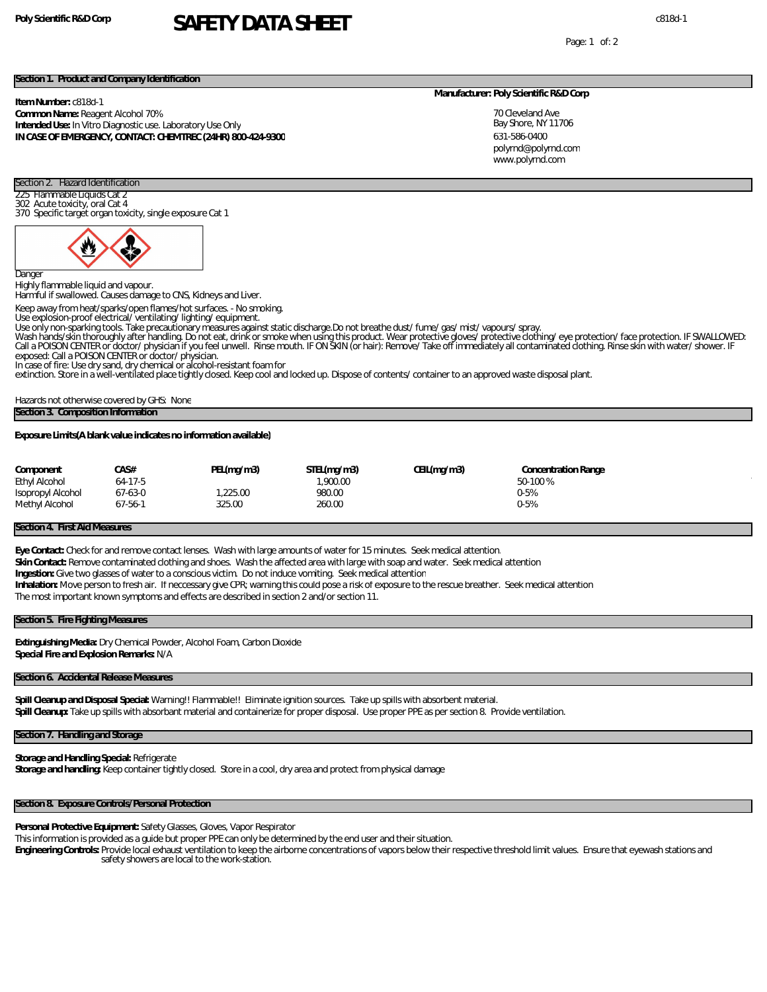# **Poly Scientific R&D Corp** c818d-1 **SAFETY DATA SHEET**

Page: 1 of: 2

## **Section 1. Product and Company Identification**

**Item Number:** c818d-1

#### **Common Name:** Reagent Alcohol 70% **Intended Use:** In Vitro Diagnostic use. Laboratory Use Only

**IN CASE OF EMERGENCY, CONTACT: CHEMTREC (24HR) 800-424-9300**

### **Manufacturer: Poly Scientific R&D Corp**

70 Cleveland Ave Bay Shore, NY 11706 631-586-0400 www.polyrnd.com polyrnd@polyrnd.com

## Section 2. Hazard Identification 225 Flammable Liquids Cat 2

302 Acute toxicity, oral Cat 4 370 Specific target organ toxicity, single exposure Cat 1



Dange

Highly flammable liquid and vapour.

Harmful if swallowed. Causes damage to CNS, Kidneys and Liver.

Keep away from heat/sparks/open flames/hot surfaces. - No smoking.

Use explosion-proof electrical/ ventilating/ lighting/ equipment.

Use only non-sparking tools. Take precautionary measures against static discharge.Do not breathe dust/ fume/ gas/ mist/ vapours/ spray.

Wash hands/skin thoroughly after handling. Do not eat, drink or smoke when using this product. Wear protective gloves/ protective dothing/ eye protection/face protection. IF SWALLOWED:<br>Call a POISON CENTER or doctor/physic exposed: Call a POISON CENTER or doctor/ physician.

In case of fire: Use dry sand, dry chemical or alcohol-resistant foam for<br>extinction. Store in a well-ventilated place tightly closed. Keep cool and locked up. Dispose of contents/ container to an approved waste disposal p

Hazards not otherwise covered by GHS: None **Section 3. Composition Information**

**Exposure Limits(A blank value indicates no information available)**

| Component            | CA S#         | PEL(mq/m3) | STEL(mq/m3) | CEIL(mq/m3) | Concentration Range |  |
|----------------------|---------------|------------|-------------|-------------|---------------------|--|
| <b>Ethyl Alcohol</b> | 64-17-5       |            | .900.00     |             | 50-100%             |  |
| Isopropyl Alcohol    | 67-63-0       | 225.00     | 980.00      |             | $0 - 5%$            |  |
| Methyl Alcohol       | $67 - 56 - 1$ | 325.00     | 260.00      |             | $0 - 5%$            |  |

### **Section 4. First Aid Measures**

**Eye Contact:** Check for and remove contact lenses. Wash with large amounts of water for 15 minutes. Seek medical attention. **Skin Contact:** Remove contaminated clothing and shoes. Wash the affected area with large with soap and water. Seek medical attention **Ingestion:** Give two glasses of water to a conscious victim. Do not induce vomiting. Seek medical attention **Inhalation:** Move person to fresh air. If neccessary give CPR; warning this could pose a risk of exposure to the rescue breather. Seek medical attention The most important known symptoms and effects are described in section 2 and/or section 11.

## **Section 5. Fire Fighting Measures**

**Extinguishing Media:** Dry Chemical Powder, Alcohol Foam, Carbon Dioxide **Special Fire and Explosion Remarks:** N/A

#### **Section 6. Accidental Release Measures**

**Spill Cleanup and Disposal Special:** Warning!! Flammable!! Eliminate ignition sources. Take up spills with absorbent material. **Spill Cleanup:** Take up spills with absorbant material and containerize for proper disposal. Use proper PPE as per section 8. Provide ventilation.

# **Section 7. Handling and Storage**

**Storage and Handling Special:** Refrigerate **Storage and handling:** Keep container tightly closed. Store in a cool, dry area and protect from physical damage

# **Section 8. Exposure Controls/Personal Protection**

**Personal Protective Equipment:** Safety Glasses, Gloves, Vapor Respirator

This information is provided as a guide but proper PPE can only be determined by the end user and their situation.

**Engineering Controls:** Provide local exhaust ventilation to keep the airborne concentrations of vapors below their respective threshold limit values. Ensure that eyewash stations and safety showers are local to the work-station.